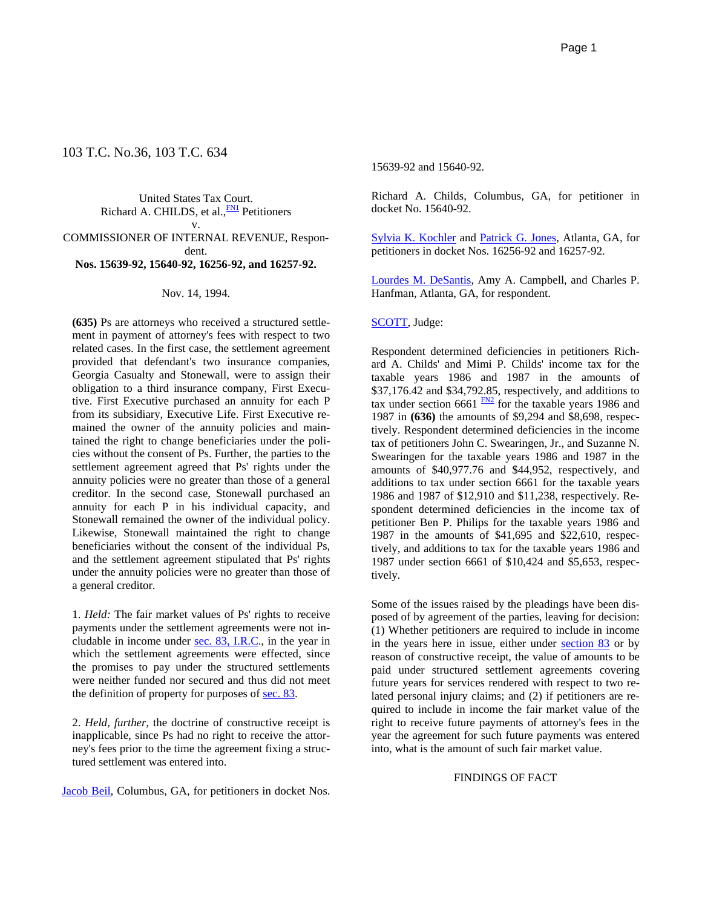# 103 T.C. No.36, 103 T.C. 634

United States Tax Court. Richard A. CHILDS, et al., **FN1** Petitioners v. COMMISSIONER OF INTERNAL REVENUE, Respondent. **Nos. 15639-92, 15640-92, 16256-92, and 16257-92.**

#### Nov. 14, 1994.

**(635)** Ps are attorneys who received a structured settlement in payment of attorney's fees with respect to two related cases. In the first case, the settlement agreement provided that defendant's two insurance companies, Georgia Casualty and Stonewall, were to assign their obligation to a third insurance company, First Executive. First Executive purchased an annuity for each P from its subsidiary, Executive Life. First Executive remained the owner of the annuity policies and maintained the right to change beneficiaries under the policies without the consent of Ps. Further, the parties to the settlement agreement agreed that Ps' rights under the annuity policies were no greater than those of a general creditor. In the second case, Stonewall purchased an annuity for each P in his individual capacity, and Stonewall remained the owner of the individual policy. Likewise, Stonewall maintained the right to change beneficiaries without the consent of the individual Ps, and the settlement agreement stipulated that Ps' rights under the annuity policies were no greater than those of a general creditor.

1. *Held:* The fair market values of Ps' rights to receive payments under the settlement agreements were not includable in income under sec. 83, I.R.C., in the year in which the settlement agreements were effected, since the promises to pay under the structured settlements were neither funded nor secured and thus did not meet the definition of property for purposes of sec. 83.

2. *Held, further,* the doctrine of constructive receipt is inapplicable, since Ps had no right to receive the attorney's fees prior to the time the agreement fixing a structured settlement was entered into.

Jacob Beil, Columbus, GA, for petitioners in docket Nos.

15639-92 and 15640-92.

Richard A. Childs, Columbus, GA, for petitioner in docket No. 15640-92.

Sylvia K. Kochler and Patrick G. Jones, Atlanta, GA, for petitioners in docket Nos. 16256-92 and 16257-92.

Lourdes M. DeSantis, Amy A. Campbell, and Charles P. Hanfman, Atlanta, GA, for respondent.

### SCOTT, Judge:

Respondent determined deficiencies in petitioners Richard A. Childs' and Mimi P. Childs' income tax for the taxable years 1986 and 1987 in the amounts of \$37,176.42 and \$34,792.85, respectively, and additions to tax under section 6661  $\frac{FN2}{TN}$  for the taxable years 1986 and 1987 in **(636)** the amounts of \$9,294 and \$8,698, respectively. Respondent determined deficiencies in the income tax of petitioners John C. Swearingen, Jr., and Suzanne N. Swearingen for the taxable years 1986 and 1987 in the amounts of \$40,977.76 and \$44,952, respectively, and additions to tax under section 6661 for the taxable years 1986 and 1987 of \$12,910 and \$11,238, respectively. Respondent determined deficiencies in the income tax of petitioner Ben P. Philips for the taxable years 1986 and 1987 in the amounts of \$41,695 and \$22,610, respectively, and additions to tax for the taxable years 1986 and 1987 under section 6661 of \$10,424 and \$5,653, respectively.

Some of the issues raised by the pleadings have been disposed of by agreement of the parties, leaving for decision: (1) Whether petitioners are required to include in income in the years here in issue, either under section 83 or by reason of constructive receipt, the value of amounts to be paid under structured settlement agreements covering future years for services rendered with respect to two related personal injury claims; and (2) if petitioners are required to include in income the fair market value of the right to receive future payments of attorney's fees in the year the agreement for such future payments was entered into, what is the amount of such fair market value.

### FINDINGS OF FACT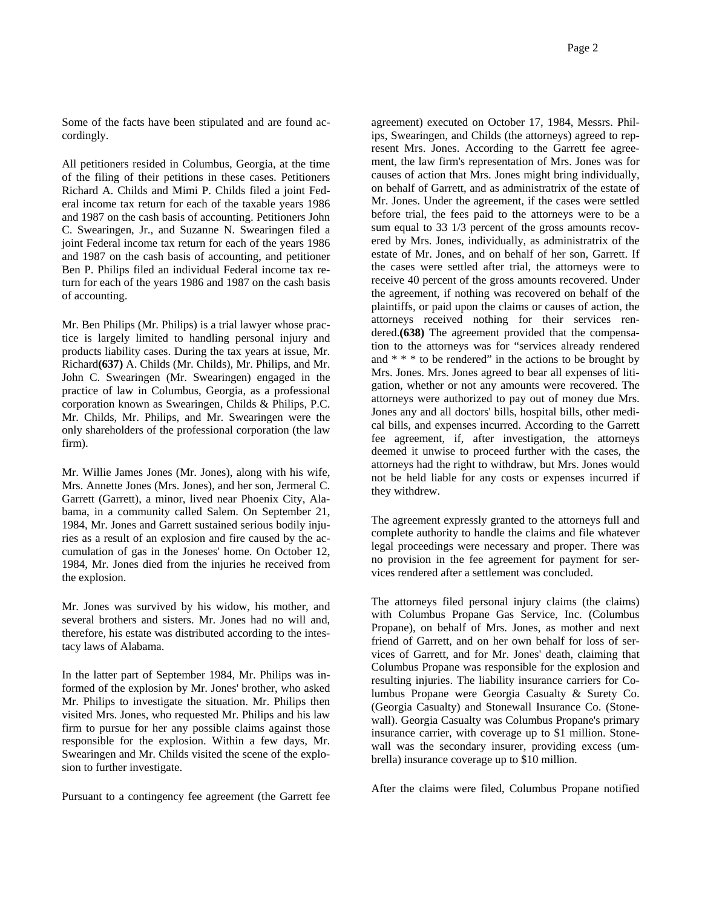Some of the facts have been stipulated and are found accordingly.

All petitioners resided in Columbus, Georgia, at the time of the filing of their petitions in these cases. Petitioners Richard A. Childs and Mimi P. Childs filed a joint Federal income tax return for each of the taxable years 1986 and 1987 on the cash basis of accounting. Petitioners John C. Swearingen, Jr., and Suzanne N. Swearingen filed a joint Federal income tax return for each of the years 1986 and 1987 on the cash basis of accounting, and petitioner Ben P. Philips filed an individual Federal income tax return for each of the years 1986 and 1987 on the cash basis of accounting.

Mr. Ben Philips (Mr. Philips) is a trial lawyer whose practice is largely limited to handling personal injury and products liability cases. During the tax years at issue, Mr. Richard**(637)** A. Childs (Mr. Childs), Mr. Philips, and Mr. John C. Swearingen (Mr. Swearingen) engaged in the practice of law in Columbus, Georgia, as a professional corporation known as Swearingen, Childs & Philips, P.C. Mr. Childs, Mr. Philips, and Mr. Swearingen were the only shareholders of the professional corporation (the law firm).

Mr. Willie James Jones (Mr. Jones), along with his wife, Mrs. Annette Jones (Mrs. Jones), and her son, Jermeral C. Garrett (Garrett), a minor, lived near Phoenix City, Alabama, in a community called Salem. On September 21, 1984, Mr. Jones and Garrett sustained serious bodily injuries as a result of an explosion and fire caused by the accumulation of gas in the Joneses' home. On October 12, 1984, Mr. Jones died from the injuries he received from the explosion.

Mr. Jones was survived by his widow, his mother, and several brothers and sisters. Mr. Jones had no will and, therefore, his estate was distributed according to the intestacy laws of Alabama.

In the latter part of September 1984, Mr. Philips was informed of the explosion by Mr. Jones' brother, who asked Mr. Philips to investigate the situation. Mr. Philips then visited Mrs. Jones, who requested Mr. Philips and his law firm to pursue for her any possible claims against those responsible for the explosion. Within a few days, Mr. Swearingen and Mr. Childs visited the scene of the explosion to further investigate.

Pursuant to a contingency fee agreement (the Garrett fee

agreement) executed on October 17, 1984, Messrs. Philips, Swearingen, and Childs (the attorneys) agreed to represent Mrs. Jones. According to the Garrett fee agreement, the law firm's representation of Mrs. Jones was for causes of action that Mrs. Jones might bring individually, on behalf of Garrett, and as administratrix of the estate of Mr. Jones. Under the agreement, if the cases were settled before trial, the fees paid to the attorneys were to be a sum equal to 33 1/3 percent of the gross amounts recovered by Mrs. Jones, individually, as administratrix of the estate of Mr. Jones, and on behalf of her son, Garrett. If the cases were settled after trial, the attorneys were to receive 40 percent of the gross amounts recovered. Under the agreement, if nothing was recovered on behalf of the plaintiffs, or paid upon the claims or causes of action, the attorneys received nothing for their services rendered.**(638)** The agreement provided that the compensation to the attorneys was for "services already rendered and  $* * *$  to be rendered" in the actions to be brought by Mrs. Jones. Mrs. Jones agreed to bear all expenses of litigation, whether or not any amounts were recovered. The attorneys were authorized to pay out of money due Mrs. Jones any and all doctors' bills, hospital bills, other medical bills, and expenses incurred. According to the Garrett fee agreement, if, after investigation, the attorneys deemed it unwise to proceed further with the cases, the attorneys had the right to withdraw, but Mrs. Jones would not be held liable for any costs or expenses incurred if they withdrew.

The agreement expressly granted to the attorneys full and complete authority to handle the claims and file whatever legal proceedings were necessary and proper. There was no provision in the fee agreement for payment for services rendered after a settlement was concluded.

The attorneys filed personal injury claims (the claims) with Columbus Propane Gas Service, Inc. (Columbus Propane), on behalf of Mrs. Jones, as mother and next friend of Garrett, and on her own behalf for loss of services of Garrett, and for Mr. Jones' death, claiming that Columbus Propane was responsible for the explosion and resulting injuries. The liability insurance carriers for Columbus Propane were Georgia Casualty & Surety Co. (Georgia Casualty) and Stonewall Insurance Co. (Stonewall). Georgia Casualty was Columbus Propane's primary insurance carrier, with coverage up to \$1 million. Stonewall was the secondary insurer, providing excess (umbrella) insurance coverage up to \$10 million.

After the claims were filed, Columbus Propane notified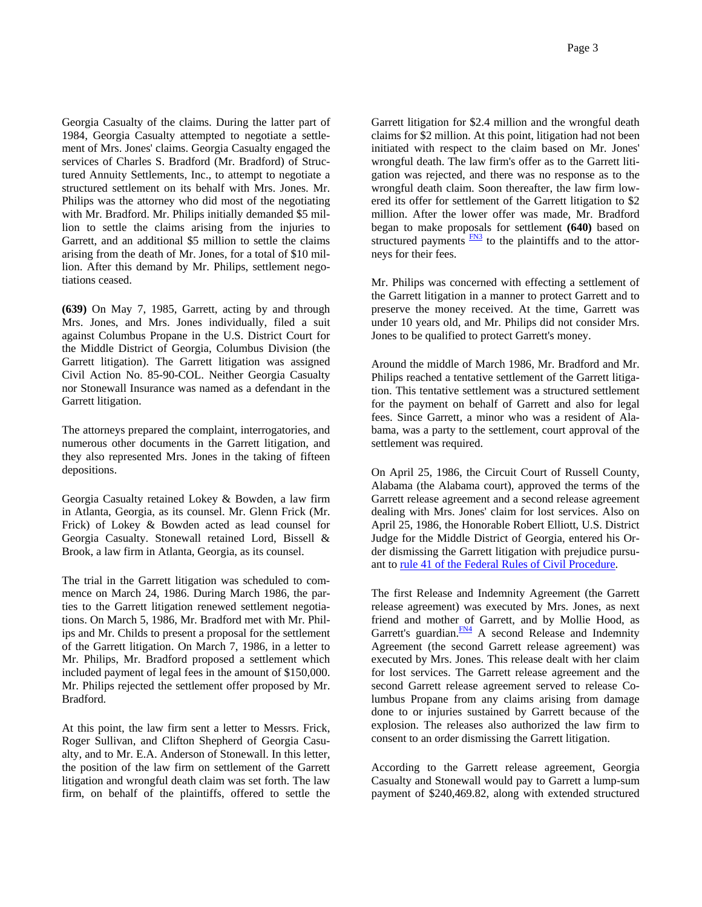Georgia Casualty of the claims. During the latter part of 1984, Georgia Casualty attempted to negotiate a settlement of Mrs. Jones' claims. Georgia Casualty engaged the services of Charles S. Bradford (Mr. Bradford) of Structured Annuity Settlements, Inc., to attempt to negotiate a structured settlement on its behalf with Mrs. Jones. Mr. Philips was the attorney who did most of the negotiating with Mr. Bradford. Mr. Philips initially demanded \$5 million to settle the claims arising from the injuries to Garrett, and an additional \$5 million to settle the claims arising from the death of Mr. Jones, for a total of \$10 million. After this demand by Mr. Philips, settlement negotiations ceased.

**(639)** On May 7, 1985, Garrett, acting by and through Mrs. Jones, and Mrs. Jones individually, filed a suit against Columbus Propane in the U.S. District Court for the Middle District of Georgia, Columbus Division (the Garrett litigation). The Garrett litigation was assigned Civil Action No. 85-90-COL. Neither Georgia Casualty nor Stonewall Insurance was named as a defendant in the Garrett litigation.

The attorneys prepared the complaint, interrogatories, and numerous other documents in the Garrett litigation, and they also represented Mrs. Jones in the taking of fifteen depositions.

Georgia Casualty retained Lokey & Bowden, a law firm in Atlanta, Georgia, as its counsel. Mr. Glenn Frick (Mr. Frick) of Lokey & Bowden acted as lead counsel for Georgia Casualty. Stonewall retained Lord, Bissell & Brook, a law firm in Atlanta, Georgia, as its counsel.

The trial in the Garrett litigation was scheduled to commence on March 24, 1986. During March 1986, the parties to the Garrett litigation renewed settlement negotiations. On March 5, 1986, Mr. Bradford met with Mr. Philips and Mr. Childs to present a proposal for the settlement of the Garrett litigation. On March 7, 1986, in a letter to Mr. Philips, Mr. Bradford proposed a settlement which included payment of legal fees in the amount of \$150,000. Mr. Philips rejected the settlement offer proposed by Mr. Bradford.

At this point, the law firm sent a letter to Messrs. Frick, Roger Sullivan, and Clifton Shepherd of Georgia Casualty, and to Mr. E.A. Anderson of Stonewall. In this letter, the position of the law firm on settlement of the Garrett litigation and wrongful death claim was set forth. The law firm, on behalf of the plaintiffs, offered to settle the

Garrett litigation for \$2.4 million and the wrongful death claims for \$2 million. At this point, litigation had not been initiated with respect to the claim based on Mr. Jones' wrongful death. The law firm's offer as to the Garrett litigation was rejected, and there was no response as to the wrongful death claim. Soon thereafter, the law firm lowered its offer for settlement of the Garrett litigation to \$2 million. After the lower offer was made, Mr. Bradford began to make proposals for settlement **(640)** based on structured payments  $\frac{FN3}{TN3}$  to the plaintiffs and to the attorneys for their fees.

Mr. Philips was concerned with effecting a settlement of the Garrett litigation in a manner to protect Garrett and to preserve the money received. At the time, Garrett was under 10 years old, and Mr. Philips did not consider Mrs. Jones to be qualified to protect Garrett's money.

Around the middle of March 1986, Mr. Bradford and Mr. Philips reached a tentative settlement of the Garrett litigation. This tentative settlement was a structured settlement for the payment on behalf of Garrett and also for legal fees. Since Garrett, a minor who was a resident of Alabama, was a party to the settlement, court approval of the settlement was required.

On April 25, 1986, the Circuit Court of Russell County, Alabama (the Alabama court), approved the terms of the Garrett release agreement and a second release agreement dealing with Mrs. Jones' claim for lost services. Also on April 25, 1986, the Honorable Robert Elliott, U.S. District Judge for the Middle District of Georgia, entered his Order dismissing the Garrett litigation with prejudice pursuant to rule 41 of the Federal Rules of Civil Procedure.

The first Release and Indemnity Agreement (the Garrett release agreement) was executed by Mrs. Jones, as next friend and mother of Garrett, and by Mollie Hood, as Garrett's guardian. $\frac{FN4}{FN4}$  A second Release and Indemnity Agreement (the second Garrett release agreement) was executed by Mrs. Jones. This release dealt with her claim for lost services. The Garrett release agreement and the second Garrett release agreement served to release Columbus Propane from any claims arising from damage done to or injuries sustained by Garrett because of the explosion. The releases also authorized the law firm to consent to an order dismissing the Garrett litigation.

According to the Garrett release agreement, Georgia Casualty and Stonewall would pay to Garrett a lump-sum payment of \$240,469.82, along with extended structured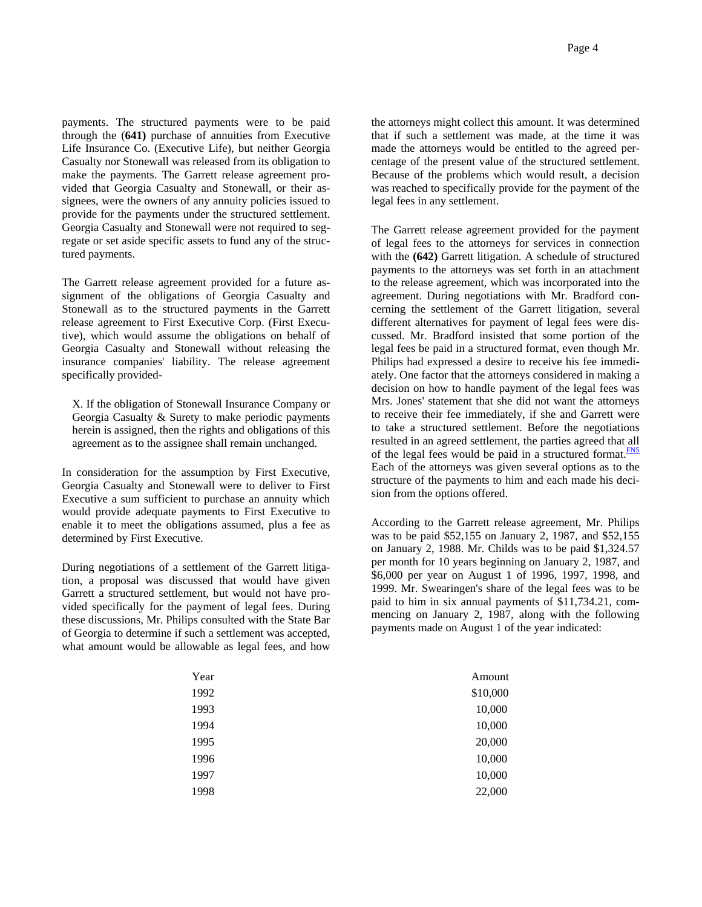payments. The structured payments were to be paid through the (**641)** purchase of annuities from Executive Life Insurance Co. (Executive Life), but neither Georgia Casualty nor Stonewall was released from its obligation to make the payments. The Garrett release agreement provided that Georgia Casualty and Stonewall, or their assignees, were the owners of any annuity policies issued to provide for the payments under the structured settlement. Georgia Casualty and Stonewall were not required to segregate or set aside specific assets to fund any of the structured payments.

The Garrett release agreement provided for a future assignment of the obligations of Georgia Casualty and Stonewall as to the structured payments in the Garrett release agreement to First Executive Corp. (First Executive), which would assume the obligations on behalf of Georgia Casualty and Stonewall without releasing the insurance companies' liability. The release agreement specifically provided-

X. If the obligation of Stonewall Insurance Company or Georgia Casualty & Surety to make periodic payments herein is assigned, then the rights and obligations of this agreement as to the assignee shall remain unchanged.

In consideration for the assumption by First Executive, Georgia Casualty and Stonewall were to deliver to First Executive a sum sufficient to purchase an annuity which would provide adequate payments to First Executive to enable it to meet the obligations assumed, plus a fee as determined by First Executive.

During negotiations of a settlement of the Garrett litigation, a proposal was discussed that would have given Garrett a structured settlement, but would not have provided specifically for the payment of legal fees. During these discussions, Mr. Philips consulted with the State Bar of Georgia to determine if such a settlement was accepted, what amount would be allowable as legal fees, and how the attorneys might collect this amount. It was determined that if such a settlement was made, at the time it was made the attorneys would be entitled to the agreed percentage of the present value of the structured settlement. Because of the problems which would result, a decision was reached to specifically provide for the payment of the legal fees in any settlement.

The Garrett release agreement provided for the payment of legal fees to the attorneys for services in connection with the **(642)** Garrett litigation. A schedule of structured payments to the attorneys was set forth in an attachment to the release agreement, which was incorporated into the agreement. During negotiations with Mr. Bradford concerning the settlement of the Garrett litigation, several different alternatives for payment of legal fees were discussed. Mr. Bradford insisted that some portion of the legal fees be paid in a structured format, even though Mr. Philips had expressed a desire to receive his fee immediately. One factor that the attorneys considered in making a decision on how to handle payment of the legal fees was Mrs. Jones' statement that she did not want the attorneys to receive their fee immediately, if she and Garrett were to take a structured settlement. Before the negotiations resulted in an agreed settlement, the parties agreed that all of the legal fees would be paid in a structured format. $\frac{FN5}{FN}$ Each of the attorneys was given several options as to the structure of the payments to him and each made his decision from the options offered.

According to the Garrett release agreement, Mr. Philips was to be paid \$52,155 on January 2, 1987, and \$52,155 on January 2, 1988. Mr. Childs was to be paid \$1,324.57 per month for 10 years beginning on January 2, 1987, and \$6,000 per year on August 1 of 1996, 1997, 1998, and 1999. Mr. Swearingen's share of the legal fees was to be paid to him in six annual payments of \$11,734.21, commencing on January 2, 1987, along with the following payments made on August 1 of the year indicated:

| Year | Amount   |
|------|----------|
| 1992 | \$10,000 |
| 1993 | 10,000   |
| 1994 | 10,000   |
| 1995 | 20,000   |
| 1996 | 10,000   |
| 1997 | 10,000   |
| 1998 | 22,000   |
|      |          |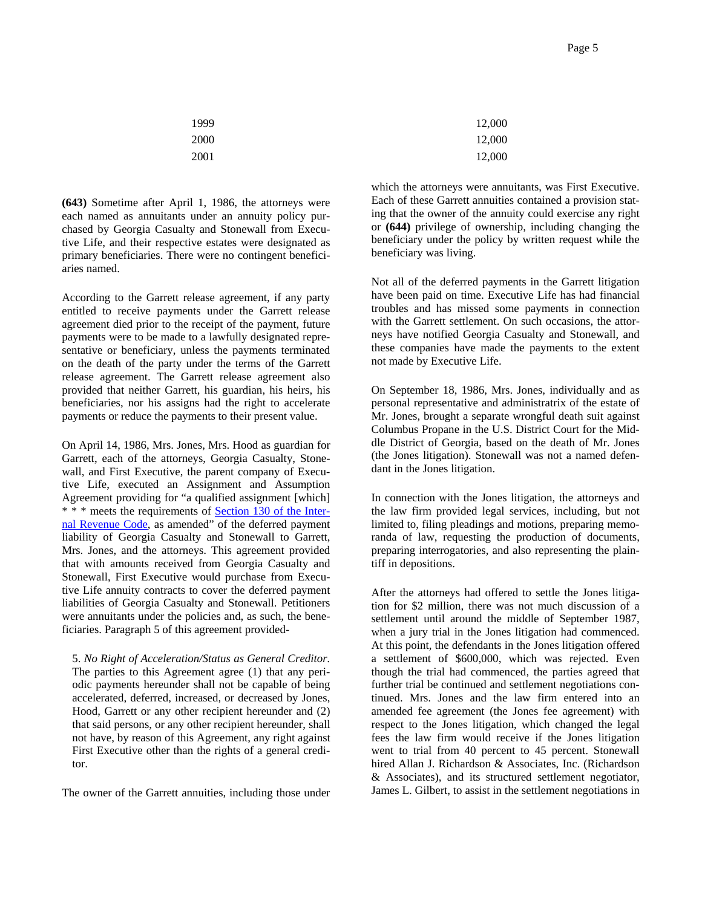| 1999 | 12,000 |
|------|--------|
| 2000 | 12,000 |
| 2001 | 12,000 |

**(643)** Sometime after April 1, 1986, the attorneys were each named as annuitants under an annuity policy purchased by Georgia Casualty and Stonewall from Executive Life, and their respective estates were designated as primary beneficiaries. There were no contingent beneficiaries named.

According to the Garrett release agreement, if any party entitled to receive payments under the Garrett release agreement died prior to the receipt of the payment, future payments were to be made to a lawfully designated representative or beneficiary, unless the payments terminated on the death of the party under the terms of the Garrett release agreement. The Garrett release agreement also provided that neither Garrett, his guardian, his heirs, his beneficiaries, nor his assigns had the right to accelerate payments or reduce the payments to their present value.

On April 14, 1986, Mrs. Jones, Mrs. Hood as guardian for Garrett, each of the attorneys, Georgia Casualty, Stonewall, and First Executive, the parent company of Executive Life, executed an Assignment and Assumption Agreement providing for "a qualified assignment [which] \* \* \* meets the requirements of Section 130 of the Internal Revenue Code, as amended" of the deferred payment liability of Georgia Casualty and Stonewall to Garrett, Mrs. Jones, and the attorneys. This agreement provided that with amounts received from Georgia Casualty and Stonewall, First Executive would purchase from Executive Life annuity contracts to cover the deferred payment liabilities of Georgia Casualty and Stonewall. Petitioners were annuitants under the policies and, as such, the beneficiaries. Paragraph 5 of this agreement provided-

5. *No Right of Acceleration/Status as General Creditor.* The parties to this Agreement agree (1) that any periodic payments hereunder shall not be capable of being accelerated, deferred, increased, or decreased by Jones, Hood, Garrett or any other recipient hereunder and (2) that said persons, or any other recipient hereunder, shall not have, by reason of this Agreement, any right against First Executive other than the rights of a general creditor.

The owner of the Garrett annuities, including those under

which the attorneys were annuitants, was First Executive. Each of these Garrett annuities contained a provision stating that the owner of the annuity could exercise any right or **(644)** privilege of ownership, including changing the beneficiary under the policy by written request while the beneficiary was living.

Not all of the deferred payments in the Garrett litigation have been paid on time. Executive Life has had financial troubles and has missed some payments in connection with the Garrett settlement. On such occasions, the attorneys have notified Georgia Casualty and Stonewall, and these companies have made the payments to the extent not made by Executive Life.

On September 18, 1986, Mrs. Jones, individually and as personal representative and administratrix of the estate of Mr. Jones, brought a separate wrongful death suit against Columbus Propane in the U.S. District Court for the Middle District of Georgia, based on the death of Mr. Jones (the Jones litigation). Stonewall was not a named defendant in the Jones litigation.

In connection with the Jones litigation, the attorneys and the law firm provided legal services, including, but not limited to, filing pleadings and motions, preparing memoranda of law, requesting the production of documents, preparing interrogatories, and also representing the plaintiff in depositions.

After the attorneys had offered to settle the Jones litigation for \$2 million, there was not much discussion of a settlement until around the middle of September 1987, when a jury trial in the Jones litigation had commenced. At this point, the defendants in the Jones litigation offered a settlement of \$600,000, which was rejected. Even though the trial had commenced, the parties agreed that further trial be continued and settlement negotiations continued. Mrs. Jones and the law firm entered into an amended fee agreement (the Jones fee agreement) with respect to the Jones litigation, which changed the legal fees the law firm would receive if the Jones litigation went to trial from 40 percent to 45 percent. Stonewall hired Allan J. Richardson & Associates, Inc. (Richardson & Associates), and its structured settlement negotiator, James L. Gilbert, to assist in the settlement negotiations in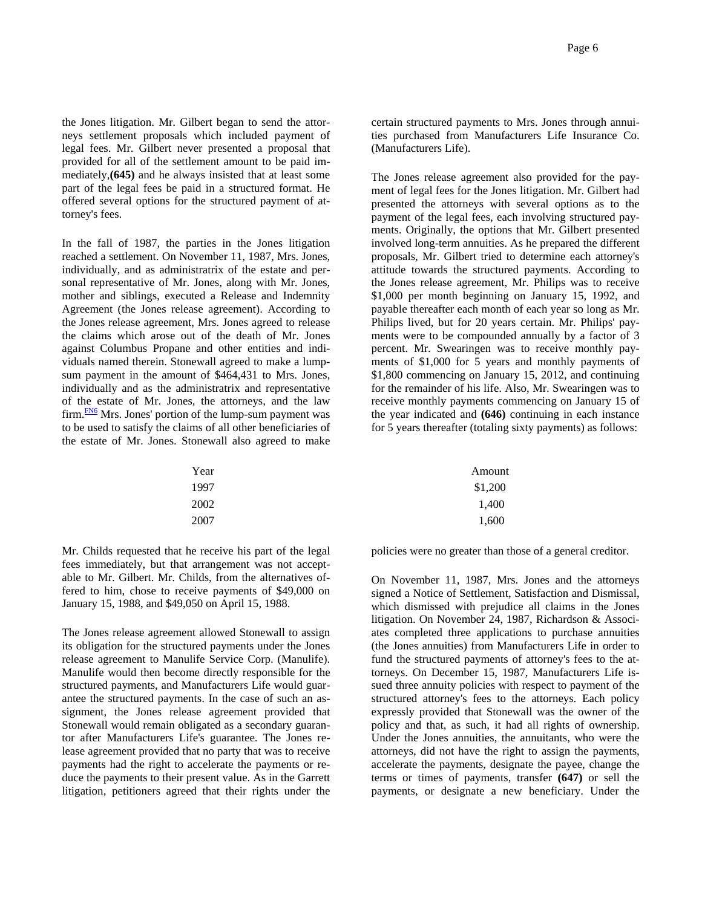the Jones litigation. Mr. Gilbert began to send the attorneys settlement proposals which included payment of legal fees. Mr. Gilbert never presented a proposal that provided for all of the settlement amount to be paid immediately,**(645)** and he always insisted that at least some part of the legal fees be paid in a structured format. He offered several options for the structured payment of attorney's fees.

In the fall of 1987, the parties in the Jones litigation reached a settlement. On November 11, 1987, Mrs. Jones, individually, and as administratrix of the estate and personal representative of Mr. Jones, along with Mr. Jones, mother and siblings, executed a Release and Indemnity Agreement (the Jones release agreement). According to the Jones release agreement, Mrs. Jones agreed to release the claims which arose out of the death of Mr. Jones against Columbus Propane and other entities and individuals named therein. Stonewall agreed to make a lumpsum payment in the amount of \$464,431 to Mrs. Jones, individually and as the administratrix and representative of the estate of Mr. Jones, the attorneys, and the law  $firm.$   $\frac{FN6}{FN}$  Mrs. Jones' portion of the lump-sum payment was to be used to satisfy the claims of all other beneficiaries of the estate of Mr. Jones. Stonewall also agreed to make certain structured payments to Mrs. Jones through annuities purchased from Manufacturers Life Insurance Co. (Manufacturers Life).

The Jones release agreement also provided for the payment of legal fees for the Jones litigation. Mr. Gilbert had presented the attorneys with several options as to the payment of the legal fees, each involving structured payments. Originally, the options that Mr. Gilbert presented involved long-term annuities. As he prepared the different proposals, Mr. Gilbert tried to determine each attorney's attitude towards the structured payments. According to the Jones release agreement, Mr. Philips was to receive \$1,000 per month beginning on January 15, 1992, and payable thereafter each month of each year so long as Mr. Philips lived, but for 20 years certain. Mr. Philips' payments were to be compounded annually by a factor of 3 percent. Mr. Swearingen was to receive monthly payments of \$1,000 for 5 years and monthly payments of \$1,800 commencing on January 15, 2012, and continuing for the remainder of his life. Also, Mr. Swearingen was to receive monthly payments commencing on January 15 of the year indicated and **(646)** continuing in each instance for 5 years thereafter (totaling sixty payments) as follows:

| Year | Amount  |
|------|---------|
| 1997 | \$1,200 |
| 2002 | 1,400   |
| 2007 | 1,600   |
|      |         |

Mr. Childs requested that he receive his part of the legal fees immediately, but that arrangement was not acceptable to Mr. Gilbert. Mr. Childs, from the alternatives offered to him, chose to receive payments of \$49,000 on January 15, 1988, and \$49,050 on April 15, 1988.

The Jones release agreement allowed Stonewall to assign its obligation for the structured payments under the Jones release agreement to Manulife Service Corp. (Manulife). Manulife would then become directly responsible for the structured payments, and Manufacturers Life would guarantee the structured payments. In the case of such an assignment, the Jones release agreement provided that Stonewall would remain obligated as a secondary guarantor after Manufacturers Life's guarantee. The Jones release agreement provided that no party that was to receive payments had the right to accelerate the payments or reduce the payments to their present value. As in the Garrett litigation, petitioners agreed that their rights under the policies were no greater than those of a general creditor.

On November 11, 1987, Mrs. Jones and the attorneys signed a Notice of Settlement, Satisfaction and Dismissal, which dismissed with prejudice all claims in the Jones litigation. On November 24, 1987, Richardson & Associates completed three applications to purchase annuities (the Jones annuities) from Manufacturers Life in order to fund the structured payments of attorney's fees to the attorneys. On December 15, 1987, Manufacturers Life issued three annuity policies with respect to payment of the structured attorney's fees to the attorneys. Each policy expressly provided that Stonewall was the owner of the policy and that, as such, it had all rights of ownership. Under the Jones annuities, the annuitants, who were the attorneys, did not have the right to assign the payments, accelerate the payments, designate the payee, change the terms or times of payments, transfer **(647)** or sell the payments, or designate a new beneficiary. Under the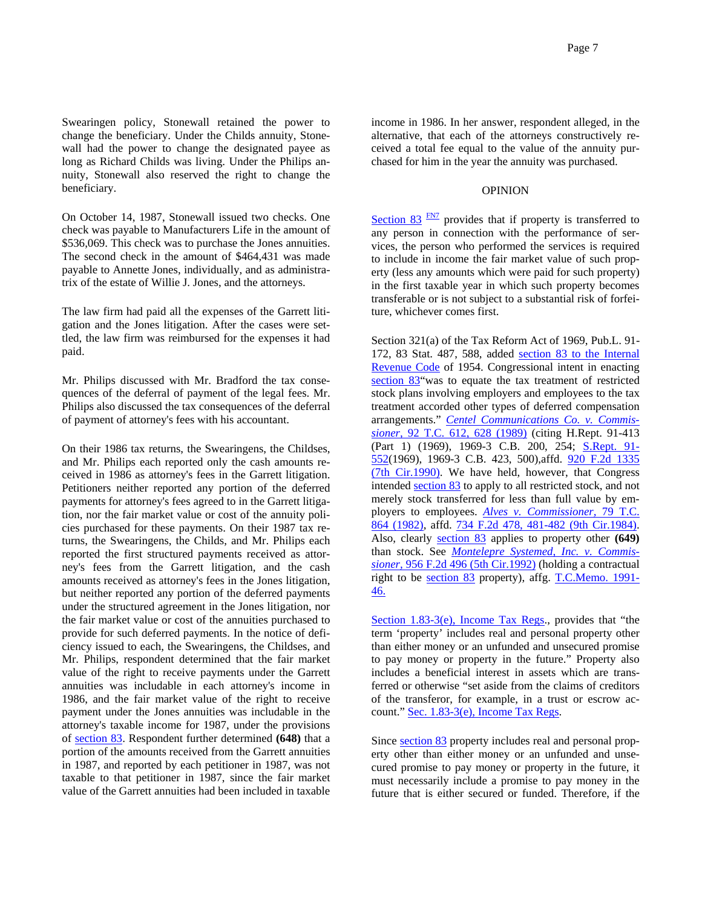Swearingen policy, Stonewall retained the power to change the beneficiary. Under the Childs annuity, Stonewall had the power to change the designated payee as long as Richard Childs was living. Under the Philips annuity, Stonewall also reserved the right to change the beneficiary.

On October 14, 1987, Stonewall issued two checks. One check was payable to Manufacturers Life in the amount of \$536,069. This check was to purchase the Jones annuities. The second check in the amount of \$464,431 was made payable to Annette Jones, individually, and as administratrix of the estate of Willie J. Jones, and the attorneys.

The law firm had paid all the expenses of the Garrett litigation and the Jones litigation. After the cases were settled, the law firm was reimbursed for the expenses it had paid.

Mr. Philips discussed with Mr. Bradford the tax consequences of the deferral of payment of the legal fees. Mr. Philips also discussed the tax consequences of the deferral of payment of attorney's fees with his accountant.

On their 1986 tax returns, the Swearingens, the Childses, and Mr. Philips each reported only the cash amounts received in 1986 as attorney's fees in the Garrett litigation. Petitioners neither reported any portion of the deferred payments for attorney's fees agreed to in the Garrett litigation, nor the fair market value or cost of the annuity policies purchased for these payments. On their 1987 tax returns, the Swearingens, the Childs, and Mr. Philips each reported the first structured payments received as attorney's fees from the Garrett litigation, and the cash amounts received as attorney's fees in the Jones litigation, but neither reported any portion of the deferred payments under the structured agreement in the Jones litigation, nor the fair market value or cost of the annuities purchased to provide for such deferred payments. In the notice of deficiency issued to each, the Swearingens, the Childses, and Mr. Philips, respondent determined that the fair market value of the right to receive payments under the Garrett annuities was includable in each attorney's income in 1986, and the fair market value of the right to receive payment under the Jones annuities was includable in the attorney's taxable income for 1987, under the provisions of section 83. Respondent further determined **(648)** that a portion of the amounts received from the Garrett annuities in 1987, and reported by each petitioner in 1987, was not taxable to that petitioner in 1987, since the fair market value of the Garrett annuities had been included in taxable income in 1986. In her answer, respondent alleged, in the alternative, that each of the attorneys constructively received a total fee equal to the value of the annuity purchased for him in the year the annuity was purchased.

## OPINION

Section  $83 \frac{FN7}{FN2}$  provides that if property is transferred to any person in connection with the performance of services, the person who performed the services is required to include in income the fair market value of such property (less any amounts which were paid for such property) in the first taxable year in which such property becomes transferable or is not subject to a substantial risk of forfeiture, whichever comes first.

Section 321(a) of the Tax Reform Act of 1969, Pub.L. 91- 172, 83 Stat. 487, 588, added section 83 to the Internal Revenue Code of 1954. Congressional intent in enacting section 83"was to equate the tax treatment of restricted stock plans involving employers and employees to the tax treatment accorded other types of deferred compensation arrangements." *Centel Communications Co. v. Commissioner,* 92 T.C. 612, 628 (1989) (citing H.Rept. 91-413 (Part 1) (1969), 1969-3 C.B. 200, 254; **S.Rept. 91-**552(1969), 1969-3 C.B. 423, 500),affd. 920 F.2d 1335 (7th Cir.1990). We have held, however, that Congress intended section 83 to apply to all restricted stock, and not merely stock transferred for less than full value by employers to employees. *Alves v. Commissioner,* 79 T.C. 864 (1982), affd. 734 F.2d 478, 481-482 (9th Cir.1984). Also, clearly section 83 applies to property other **(649)** than stock. See *Montelepre Systemed, Inc. v. Commissioner,* 956 F.2d 496 (5th Cir.1992) (holding a contractual right to be section 83 property), affg. T.C.Memo. 1991- 46.

Section 1.83-3(e), Income Tax Regs., provides that "the term 'property' includes real and personal property other than either money or an unfunded and unsecured promise to pay money or property in the future." Property also includes a beneficial interest in assets which are transferred or otherwise "set aside from the claims of creditors of the transferor, for example, in a trust or escrow account." Sec. 1.83-3(e), Income Tax Regs.

Since section 83 property includes real and personal property other than either money or an unfunded and unsecured promise to pay money or property in the future, it must necessarily include a promise to pay money in the future that is either secured or funded. Therefore, if the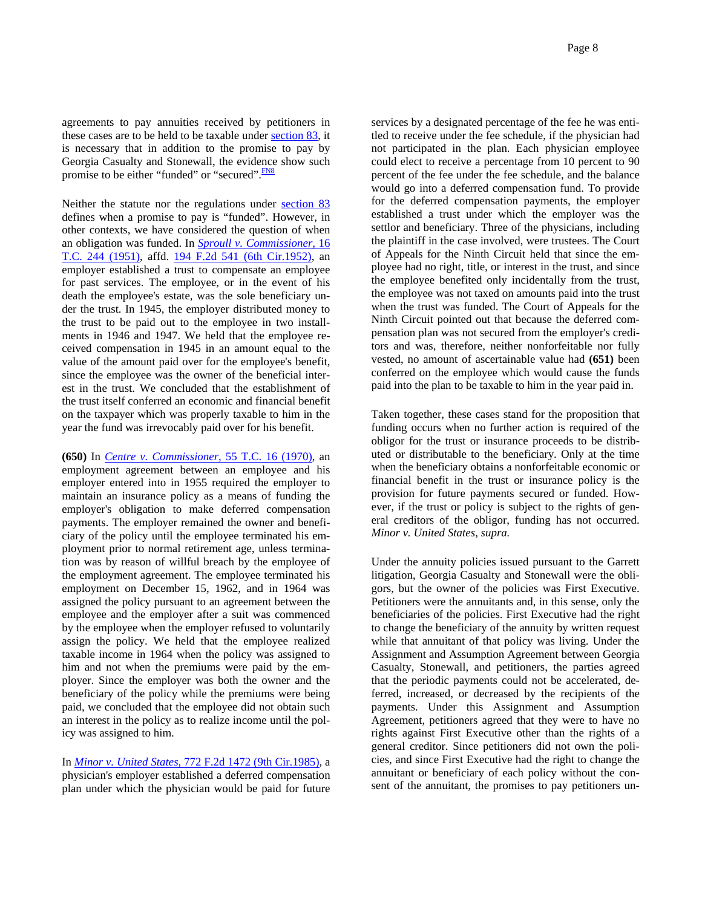agreements to pay annuities received by petitioners in these cases are to be held to be taxable under section 83, it is necessary that in addition to the promise to pay by Georgia Casualty and Stonewall, the evidence show such promise to be either "funded" or "secured". **FN8** 

Neither the statute nor the regulations under section 83 defines when a promise to pay is "funded". However, in other contexts, we have considered the question of when an obligation was funded. In *Sproull v. Commissioner,* 16 T.C. 244 (1951), affd. 194 F.2d 541 (6th Cir.1952), an employer established a trust to compensate an employee for past services. The employee, or in the event of his death the employee's estate, was the sole beneficiary under the trust. In 1945, the employer distributed money to the trust to be paid out to the employee in two installments in 1946 and 1947. We held that the employee received compensation in 1945 in an amount equal to the value of the amount paid over for the employee's benefit, since the employee was the owner of the beneficial interest in the trust. We concluded that the establishment of the trust itself conferred an economic and financial benefit on the taxpayer which was properly taxable to him in the year the fund was irrevocably paid over for his benefit.

**(650)** In *Centre v. Commissioner,* 55 T.C. 16 (1970), an employment agreement between an employee and his employer entered into in 1955 required the employer to maintain an insurance policy as a means of funding the employer's obligation to make deferred compensation payments. The employer remained the owner and beneficiary of the policy until the employee terminated his employment prior to normal retirement age, unless termination was by reason of willful breach by the employee of the employment agreement. The employee terminated his employment on December 15, 1962, and in 1964 was assigned the policy pursuant to an agreement between the employee and the employer after a suit was commenced by the employee when the employer refused to voluntarily assign the policy. We held that the employee realized taxable income in 1964 when the policy was assigned to him and not when the premiums were paid by the employer. Since the employer was both the owner and the beneficiary of the policy while the premiums were being paid, we concluded that the employee did not obtain such an interest in the policy as to realize income until the policy was assigned to him.

In *Minor v. United States,* 772 F.2d 1472 (9th Cir.1985), a physician's employer established a deferred compensation plan under which the physician would be paid for future

services by a designated percentage of the fee he was entitled to receive under the fee schedule, if the physician had not participated in the plan. Each physician employee could elect to receive a percentage from 10 percent to 90 percent of the fee under the fee schedule, and the balance would go into a deferred compensation fund. To provide for the deferred compensation payments, the employer established a trust under which the employer was the settlor and beneficiary. Three of the physicians, including the plaintiff in the case involved, were trustees. The Court of Appeals for the Ninth Circuit held that since the employee had no right, title, or interest in the trust, and since the employee benefited only incidentally from the trust, the employee was not taxed on amounts paid into the trust when the trust was funded. The Court of Appeals for the Ninth Circuit pointed out that because the deferred compensation plan was not secured from the employer's creditors and was, therefore, neither nonforfeitable nor fully vested, no amount of ascertainable value had **(651)** been conferred on the employee which would cause the funds paid into the plan to be taxable to him in the year paid in.

Taken together, these cases stand for the proposition that funding occurs when no further action is required of the obligor for the trust or insurance proceeds to be distributed or distributable to the beneficiary. Only at the time when the beneficiary obtains a nonforfeitable economic or financial benefit in the trust or insurance policy is the provision for future payments secured or funded. However, if the trust or policy is subject to the rights of general creditors of the obligor, funding has not occurred. *Minor v. United States, supra.*

Under the annuity policies issued pursuant to the Garrett litigation, Georgia Casualty and Stonewall were the obligors, but the owner of the policies was First Executive. Petitioners were the annuitants and, in this sense, only the beneficiaries of the policies. First Executive had the right to change the beneficiary of the annuity by written request while that annuitant of that policy was living. Under the Assignment and Assumption Agreement between Georgia Casualty, Stonewall, and petitioners, the parties agreed that the periodic payments could not be accelerated, deferred, increased, or decreased by the recipients of the payments. Under this Assignment and Assumption Agreement, petitioners agreed that they were to have no rights against First Executive other than the rights of a general creditor. Since petitioners did not own the policies, and since First Executive had the right to change the annuitant or beneficiary of each policy without the consent of the annuitant, the promises to pay petitioners un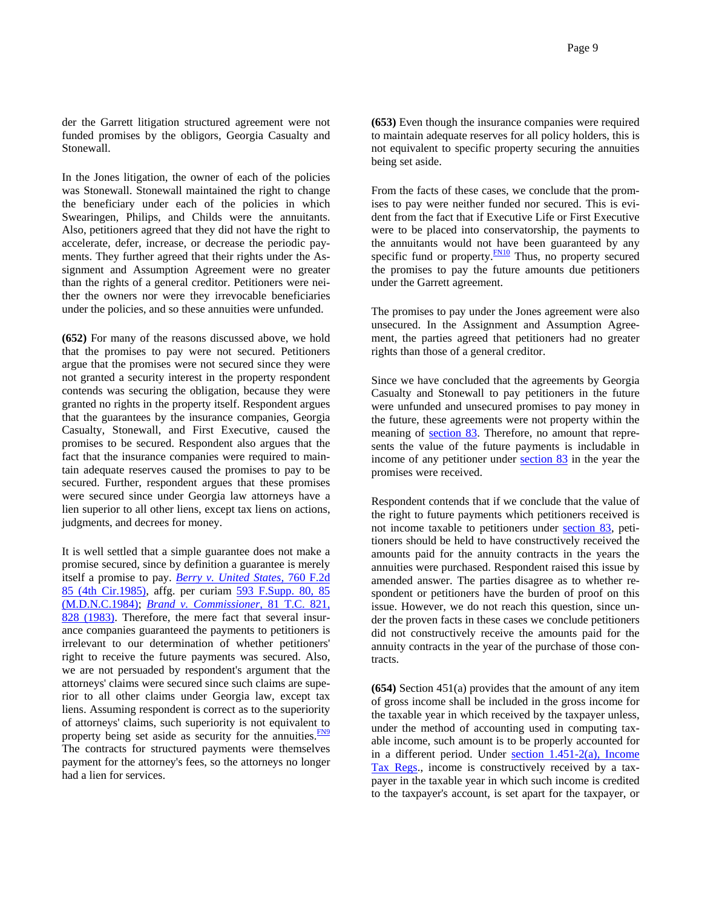der the Garrett litigation structured agreement were not funded promises by the obligors, Georgia Casualty and Stonewall.

In the Jones litigation, the owner of each of the policies was Stonewall. Stonewall maintained the right to change the beneficiary under each of the policies in which Swearingen, Philips, and Childs were the annuitants. Also, petitioners agreed that they did not have the right to accelerate, defer, increase, or decrease the periodic payments. They further agreed that their rights under the Assignment and Assumption Agreement were no greater than the rights of a general creditor. Petitioners were neither the owners nor were they irrevocable beneficiaries under the policies, and so these annuities were unfunded.

**(652)** For many of the reasons discussed above, we hold that the promises to pay were not secured. Petitioners argue that the promises were not secured since they were not granted a security interest in the property respondent contends was securing the obligation, because they were granted no rights in the property itself. Respondent argues that the guarantees by the insurance companies, Georgia Casualty, Stonewall, and First Executive, caused the promises to be secured. Respondent also argues that the fact that the insurance companies were required to maintain adequate reserves caused the promises to pay to be secured. Further, respondent argues that these promises were secured since under Georgia law attorneys have a lien superior to all other liens, except tax liens on actions, judgments, and decrees for money.

It is well settled that a simple guarantee does not make a promise secured, since by definition a guarantee is merely itself a promise to pay. *Berry v. United States,* 760 F.2d 85 (4th Cir.1985), affg. per curiam 593 F.Supp. 80, 85 (M.D.N.C.1984); *Brand v. Commissioner,* 81 T.C. 821, 828 (1983). Therefore, the mere fact that several insurance companies guaranteed the payments to petitioners is irrelevant to our determination of whether petitioners' right to receive the future payments was secured. Also, we are not persuaded by respondent's argument that the attorneys' claims were secured since such claims are superior to all other claims under Georgia law, except tax liens. Assuming respondent is correct as to the superiority of attorneys' claims, such superiority is not equivalent to property being set aside as security for the annuities. $\frac{FN9}{FN}$ The contracts for structured payments were themselves payment for the attorney's fees, so the attorneys no longer had a lien for services.

**(653)** Even though the insurance companies were required to maintain adequate reserves for all policy holders, this is not equivalent to specific property securing the annuities being set aside.

From the facts of these cases, we conclude that the promises to pay were neither funded nor secured. This is evident from the fact that if Executive Life or First Executive were to be placed into conservatorship, the payments to the annuitants would not have been guaranteed by any specific fund or property.<sup>FN10</sup> Thus, no property secured the promises to pay the future amounts due petitioners under the Garrett agreement.

The promises to pay under the Jones agreement were also unsecured. In the Assignment and Assumption Agreement, the parties agreed that petitioners had no greater rights than those of a general creditor.

Since we have concluded that the agreements by Georgia Casualty and Stonewall to pay petitioners in the future were unfunded and unsecured promises to pay money in the future, these agreements were not property within the meaning of section 83. Therefore, no amount that represents the value of the future payments is includable in income of any petitioner under section 83 in the year the promises were received.

Respondent contends that if we conclude that the value of the right to future payments which petitioners received is not income taxable to petitioners under section 83, petitioners should be held to have constructively received the amounts paid for the annuity contracts in the years the annuities were purchased. Respondent raised this issue by amended answer. The parties disagree as to whether respondent or petitioners have the burden of proof on this issue. However, we do not reach this question, since under the proven facts in these cases we conclude petitioners did not constructively receive the amounts paid for the annuity contracts in the year of the purchase of those contracts.

**(654)** Section 451(a) provides that the amount of any item of gross income shall be included in the gross income for the taxable year in which received by the taxpayer unless, under the method of accounting used in computing taxable income, such amount is to be properly accounted for in a different period. Under section 1.451-2(a), Income Tax Regs., income is constructively received by a taxpayer in the taxable year in which such income is credited to the taxpayer's account, is set apart for the taxpayer, or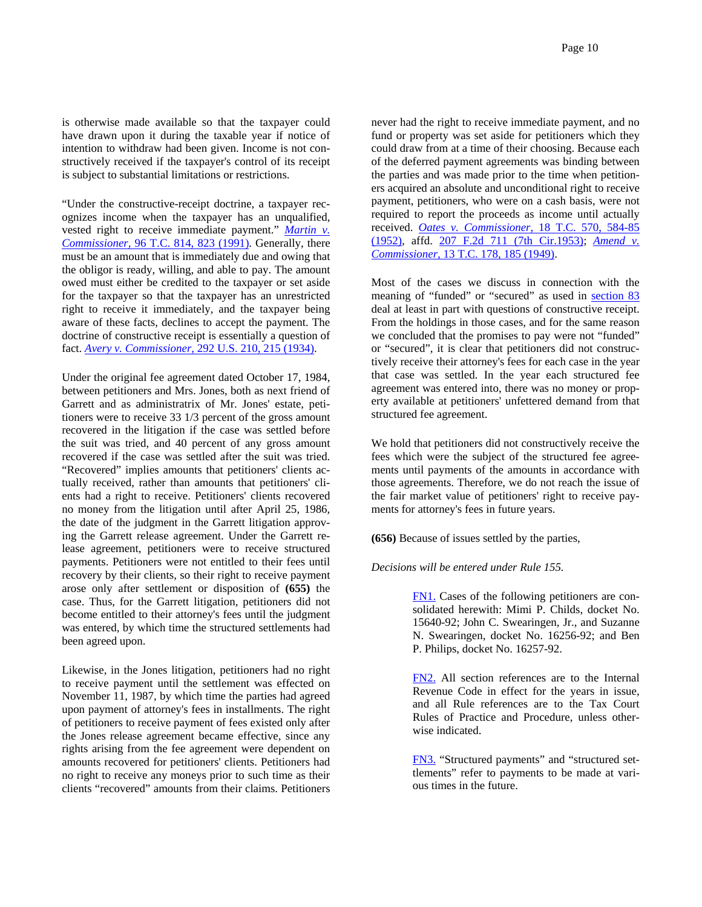is otherwise made available so that the taxpayer could have drawn upon it during the taxable year if notice of intention to withdraw had been given. Income is not constructively received if the taxpayer's control of its receipt is subject to substantial limitations or restrictions.

"Under the constructive-receipt doctrine, a taxpayer recognizes income when the taxpayer has an unqualified, vested right to receive immediate payment." *Martin v. Commissioner,* 96 T.C. 814, 823 (1991). Generally, there must be an amount that is immediately due and owing that the obligor is ready, willing, and able to pay. The amount owed must either be credited to the taxpayer or set aside for the taxpayer so that the taxpayer has an unrestricted right to receive it immediately, and the taxpayer being aware of these facts, declines to accept the payment. The doctrine of constructive receipt is essentially a question of fact. *Avery v. Commissioner,* 292 U.S. 210, 215 (1934).

Under the original fee agreement dated October 17, 1984, between petitioners and Mrs. Jones, both as next friend of Garrett and as administratrix of Mr. Jones' estate, petitioners were to receive 33 1/3 percent of the gross amount recovered in the litigation if the case was settled before the suit was tried, and 40 percent of any gross amount recovered if the case was settled after the suit was tried. "Recovered" implies amounts that petitioners' clients actually received, rather than amounts that petitioners' clients had a right to receive. Petitioners' clients recovered no money from the litigation until after April 25, 1986, the date of the judgment in the Garrett litigation approving the Garrett release agreement. Under the Garrett release agreement, petitioners were to receive structured payments. Petitioners were not entitled to their fees until recovery by their clients, so their right to receive payment arose only after settlement or disposition of **(655)** the case. Thus, for the Garrett litigation, petitioners did not become entitled to their attorney's fees until the judgment was entered, by which time the structured settlements had been agreed upon.

Likewise, in the Jones litigation, petitioners had no right to receive payment until the settlement was effected on November 11, 1987, by which time the parties had agreed upon payment of attorney's fees in installments. The right of petitioners to receive payment of fees existed only after the Jones release agreement became effective, since any rights arising from the fee agreement were dependent on amounts recovered for petitioners' clients. Petitioners had no right to receive any moneys prior to such time as their clients "recovered" amounts from their claims. Petitioners

never had the right to receive immediate payment, and no fund or property was set aside for petitioners which they could draw from at a time of their choosing. Because each of the deferred payment agreements was binding between the parties and was made prior to the time when petitioners acquired an absolute and unconditional right to receive payment, petitioners, who were on a cash basis, were not required to report the proceeds as income until actually received. *Oates v. Commissioner,* 18 T.C. 570, 584-85 (1952), affd. 207 F.2d 711 (7th Cir.1953); *Amend v. Commissioner,* 13 T.C. 178, 185 (1949).

Most of the cases we discuss in connection with the meaning of "funded" or "secured" as used in section 83 deal at least in part with questions of constructive receipt. From the holdings in those cases, and for the same reason we concluded that the promises to pay were not "funded" or "secured", it is clear that petitioners did not constructively receive their attorney's fees for each case in the year that case was settled. In the year each structured fee agreement was entered into, there was no money or property available at petitioners' unfettered demand from that structured fee agreement.

We hold that petitioners did not constructively receive the fees which were the subject of the structured fee agreements until payments of the amounts in accordance with those agreements. Therefore, we do not reach the issue of the fair market value of petitioners' right to receive payments for attorney's fees in future years.

**(656)** Because of issues settled by the parties,

### *Decisions will be entered under Rule 155.*

FN1. Cases of the following petitioners are consolidated herewith: Mimi P. Childs, docket No. 15640-92; John C. Swearingen, Jr., and Suzanne N. Swearingen, docket No. 16256-92; and Ben P. Philips, docket No. 16257-92.

FN2. All section references are to the Internal Revenue Code in effect for the years in issue, and all Rule references are to the Tax Court Rules of Practice and Procedure, unless otherwise indicated.

FN3. "Structured payments" and "structured settlements" refer to payments to be made at various times in the future.